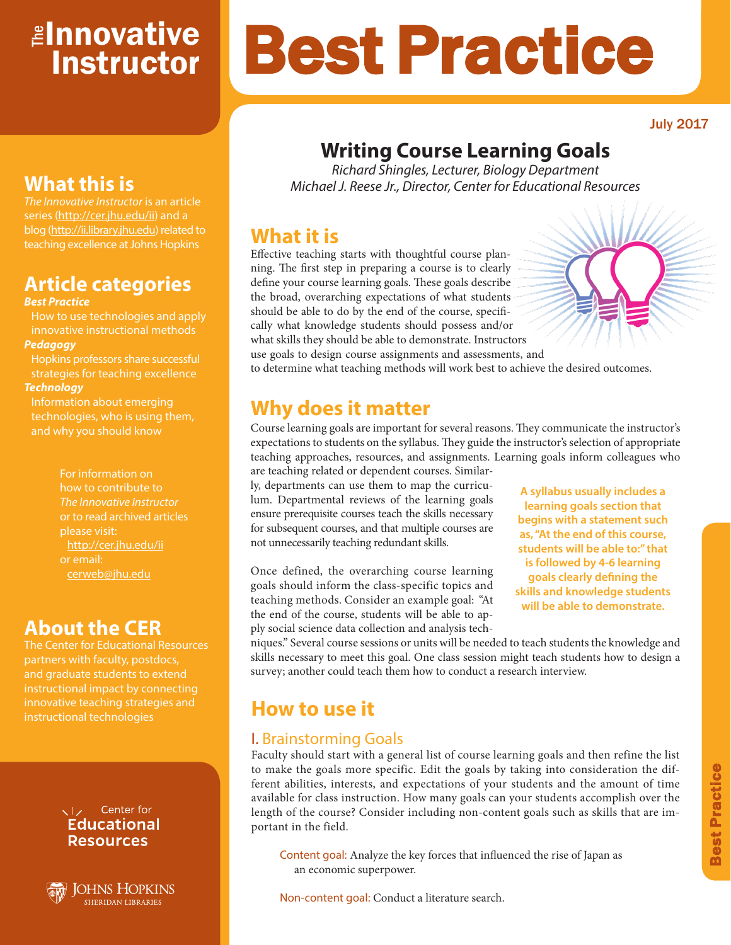# <mark>≇Innovative</mark> **Instructor**

### July 2017

## **Writing Course Learning Goals**

Best Practice

*Richard Shingles, Lecturer, Biology Department Michael J. Reese Jr., Director, Center for Educational Resources*

### **What it is**

Effective teaching starts with thoughtful course planning. The first step in preparing a course is to clearly define your course learning goals. These goals describe the broad, overarching expectations of what students should be able to do by the end of the course, specifically what knowledge students should possess and/or what skills they should be able to demonstrate. Instructors use goals to design course assignments and assessments, and to determine what teaching methods will work best to achieve the desired outcomes.

## **Why does it matter**

Course learning goals are important for several reasons. They communicate the instructor's expectations to students on the syllabus. They guide the instructor's selection of appropriate teaching approaches, resources, and assignments. Learning goals inform colleagues who are teaching related or dependent courses. Similar-

ly, departments can use them to map the curriculum. Departmental reviews of the learning goals ensure prerequisite courses teach the skills necessary for subsequent courses, and that multiple courses are not unnecessarily teaching redundant skills.

Once defined, the overarching course learning goals should inform the class-specific topics and teaching methods. Consider an example goal: "At the end of the course, students will be able to apply social science data collection and analysis tech-

**A syllabus usually includes a learning goals section that begins with a statement such as, "At the end of this course, students will be able to:" that is followed by 4-6 learning goals clearly defining the skills and knowledge students will be able to demonstrate.**

niques." Several course sessions or units will be needed to teach students the knowledge and skills necessary to meet this goal. One class session might teach students how to design a survey; another could teach them how to conduct a research interview.

## **How to use it**

### I. Brainstorming Goals

Faculty should start with a general list of course learning goals and then refine the list to make the goals more specific. Edit the goals by taking into consideration the different abilities, interests, and expectations of your students and the amount of time available for class instruction. How many goals can your students accomplish over the length of the course? Consider including non-content goals such as skills that are important in the field.

Content goal: Analyze the key forces that influenced the rise of Japan as an economic superpower.

Non-content goal: Conduct a literature search.

## **What this is**

*The Innovative Instructor* is an article series (http://cer.jhu.edu/ii) and a blog (http://ii.library.jhu.edu) related to teaching excellence at Johns Hopkins

## **Article categories**

### *Best Practice*

How to use technologies and apply innovative instructional methods *Pedagogy*

Hopkins professors share successful strategies for teaching excellence *Technology*

Information about emerging technologies, who is using them, and why you should know

> For information on how to contribute to *The Innovative Instructor* or to read archived articles please visit: http://cer.jhu.edu/ii or email: cerweb@jhu.edu

## **About the CER**

The Center for Educational Resources and graduate students to extend innovative teaching strategies and instructional technologies

### VI<sub>z</sub> Center for **Educational Resources**